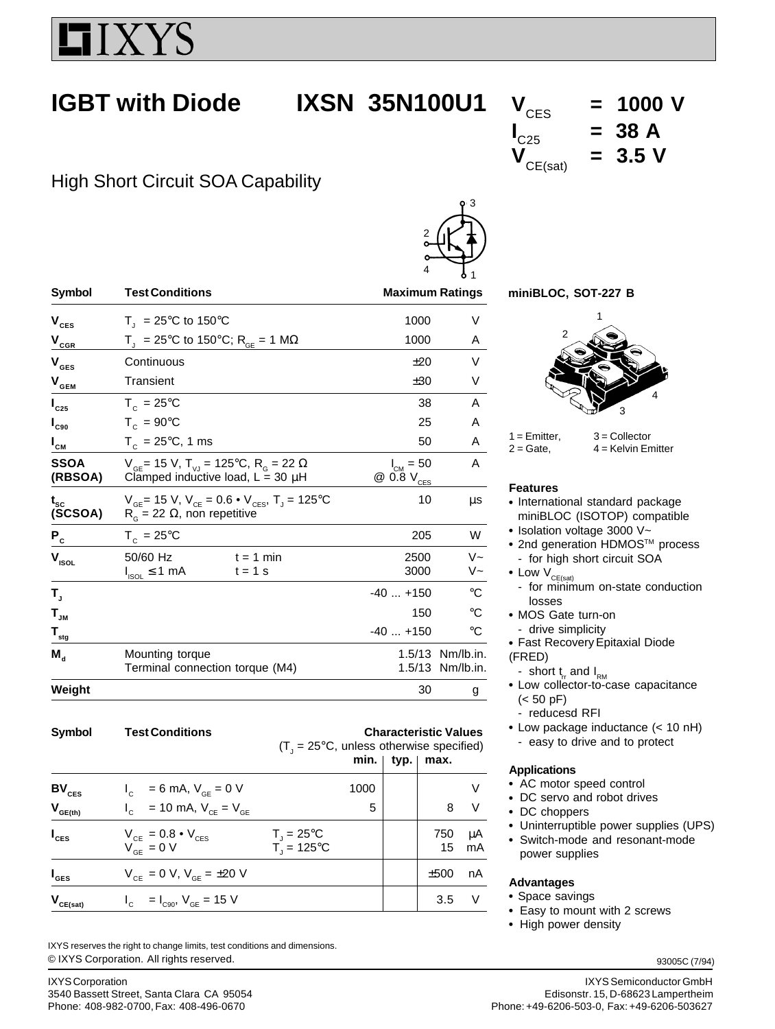

# **IGBT with Diode IXSN 35N100U1**  $V_{CES}$  = 1000 V

# High Short Circuit SOA Capability

|                                             |                                                                                                                         | 4                              | $\frac{1}{6}$ 1               |  |  |
|---------------------------------------------|-------------------------------------------------------------------------------------------------------------------------|--------------------------------|-------------------------------|--|--|
| Symbol                                      | <b>Test Conditions</b>                                                                                                  | <b>Maximum Ratings</b>         |                               |  |  |
| $\mathbf{V}_{\mathrm{CES}}$                 | $T_1 = 25^{\circ}C$ to 150°C                                                                                            | 1000                           | V                             |  |  |
| $\mathbf{V}_{\underbar{\text{c}}\text{GR}}$ | $T_{\text{I}}$ = 25°C to 150°C; R <sub>GE</sub> = 1 MΩ                                                                  | 1000                           | A                             |  |  |
| $\mathbf{V}_{\texttt{GES}}$                 | Continuous                                                                                                              | ±20                            | V                             |  |  |
| $V_{\text{GEM}}$                            | Transient                                                                                                               | ±30                            | V                             |  |  |
| $I_{c25}$                                   | $T_c = 25^{\circ}$ C                                                                                                    | 38                             | A                             |  |  |
| $I_{c90}$                                   | $T_c = 90^{\circ}$ C                                                                                                    | 25                             | A                             |  |  |
| $I_{\text{cm}}$                             | $T_c = 25^{\circ}C$ , 1 ms                                                                                              | 50                             | A                             |  |  |
| <b>SSOA</b><br>(RBSOA)                      | $V_{\text{GF}}$ = 15 V, T <sub>VJ</sub> = 125°C, R <sub>G</sub> = 22 $\Omega$<br>Clamped inductive load, $L = 30 \mu H$ | $I_{CM} = 50$<br>$@0.8V_{CES}$ | A                             |  |  |
| $t_{\rm sc}$<br>(SCSOA)                     | $V_{GE}$ = 15 V, $V_{CE}$ = 0.6 • $V_{CES}$ , T <sub>J</sub> = 125 °C<br>$R_{\rm g}$ = 22 $\Omega$ , non repetitive     | 10                             | μs                            |  |  |
| $P_c$                                       | $T_c = 25^{\circ}C$                                                                                                     | 205                            | W                             |  |  |
| $\mathbf{V}_{\mathsf{ISOL}}$                | 50/60 Hz<br>$t = 1$ min<br>$I_{\text{ISOL}} \leq 1 \text{ mA}$<br>$t = 1$ s                                             | 2500<br>3000                   | $V -$<br>V~                   |  |  |
| Т,                                          |                                                                                                                         | $-40+150$                      | °C                            |  |  |
| $\mathbf{T}_{\mathsf{JM}}$                  |                                                                                                                         | 150                            | $^{\circ}C$                   |  |  |
| $T_{\underline{\tiny sig}}$                 |                                                                                                                         | $-40+150$                      | °C                            |  |  |
| $M_{\rm d}$                                 | Mounting torque<br>Terminal connection torque (M4)                                                                      | 1.5/13                         | 1.5/13 Nm/lb.in.<br>Nm/lb.in. |  |  |
| Weight                                      |                                                                                                                         | 30                             | g                             |  |  |

| <b>Symbol</b>      | <b>Test Conditions</b>                                                                                                         | <b>Characteristic Values</b><br>$(T_1 = 25^{\circ}C$ , unless otherwise specified)<br>typ. $ $<br>min.<br>max. |  |           |          |
|--------------------|--------------------------------------------------------------------------------------------------------------------------------|----------------------------------------------------------------------------------------------------------------|--|-----------|----------|
| $BV_{CES}$         | $I_c = 6$ mA, $V_{GE} = 0$ V                                                                                                   | 1000                                                                                                           |  |           |          |
| $V_{GE(th)}$       | $V_{\text{c}} = 10 \text{ mA}, V_{\text{c}} = V_{\text{c}}$                                                                    | 5                                                                                                              |  | 8         | V        |
| $I_{\text{ces}}$   | $\begin{array}{l} \displaystyle V_{\text{CE}}=0.8\bullet V_{\text{CES}}\\ \displaystyle V_{\text{GE}}=0\;\text{V} \end{array}$ | $T_{j} = 25^{\circ}C$<br>$T_{j} = 125^{\circ}C$                                                                |  | 750<br>15 | μA<br>mA |
| $I_{\texttt{GES}}$ | $V_{CF} = 0 V, V_{GE} = \pm 20 V$                                                                                              |                                                                                                                |  | ±500      | nA.      |
| $V_{CE(sat)}$      | $I_{C}$ = $I_{C90}$ , $V_{GE}$ = 15 V                                                                                          |                                                                                                                |  | 3.5       | V        |

© IXYS Corporation. All rights reserved. IXYS reserves the right to change limits, test conditions and dimensions.



2

# $I_{C25}$  = 38 A  $V_{CE(sat)} = 3.5 V$

**miniBLOC, SOT-227 B**



 $1 =$  Emitter,  $3 =$  Collector  $2 =$  Gate,  $4 =$  Kelvin Emitter

### **Features**

- International standard package miniBLOC (ISOTOP) compatible
- Isolation voltage 3000 V~
- 2nd generation HDMOS™ process - for high short circuit SOA
- Low  $V_{CE(sat)}$
- for minimum on-state conduction losses
- MOS Gate turn-on
- drive simplicity
- Fast Recovery Epitaxial Diode
- (FRED)
	- short  $t_r$  and  $I_{RM}$
- Low collector-to-case capacitance  $(< 50$  pF)
	- reducesd RFI
- $\bullet$  Low package inductance (< 10 nH) - easy to drive and to protect

### **Applications**

- AC motor speed control
- DC servo and robot drives
- DC choppers
- Uninterruptible power supplies (UPS)
- Switch-mode and resonant-mode power supplies

### **Advantages**

- Space savings
- Easy to mount with 2 screws
- High power density

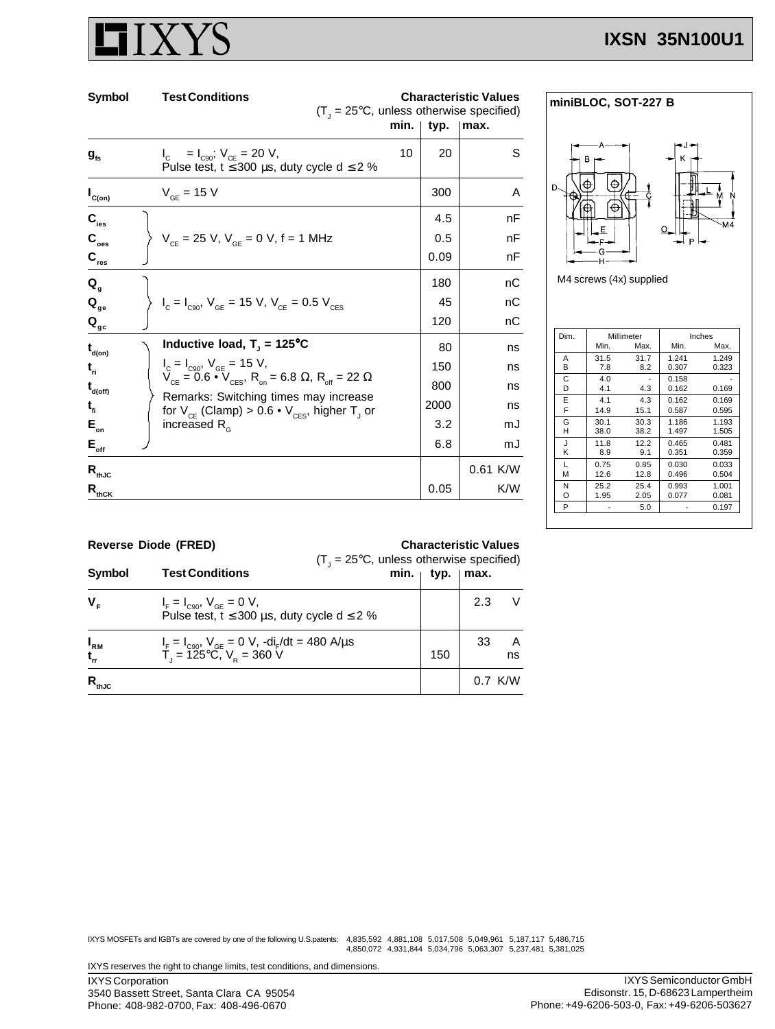# **IXSN 35N100U1**

| Symbol                                           | <b>Test Conditions</b>                                                                                     | <b>Characteristic Values</b><br>$(T_1 = 25^{\circ}C$ , unless otherwise specified) |      |            |  |
|--------------------------------------------------|------------------------------------------------------------------------------------------------------------|------------------------------------------------------------------------------------|------|------------|--|
|                                                  |                                                                                                            | min.                                                                               | typ. | ∣max.      |  |
| $\boldsymbol{g}_{\text{fs}}$                     | $I_c = I_{c90}$ ; $V_{ce} = 20 V$ ,<br>Pulse test, t $\leq$ 300 µs, duty cycle d $\leq$ 2 %                | 10                                                                                 | 20   | S          |  |
| $I_{C(on)}$                                      | $V_{GE}$ = 15 V                                                                                            |                                                                                    | 300  | A          |  |
| $C_{\text{les}}$                                 |                                                                                                            |                                                                                    | 4.5  | nF         |  |
| $\mathbf{C}_{\text{oes}}$                        | $V_{CF}$ = 25 V, $V_{GF}$ = 0 V, f = 1 MHz                                                                 |                                                                                    | 0.5  | nF         |  |
| $\mathbf{C}_{\text{res}}$                        |                                                                                                            |                                                                                    | 0.09 | nF         |  |
| $Q_{q}$                                          |                                                                                                            |                                                                                    | 180  | nС         |  |
| $\mathbf{Q}_{\text{ge}}$                         | $I_c = I_{c90}$ , $V_{GE} = 15$ V, $V_{CE} = 0.5$ V <sub>CES</sub>                                         |                                                                                    | 45   | nС         |  |
| $\mathbf{Q}_{\mathbf{gc}}$                       |                                                                                                            |                                                                                    | 120  | nС         |  |
| $\mathbf{t}_{\mathsf{d}(\mathsf{on})}$           | Inductive load, $T_{\rm j}$ = 125°C                                                                        |                                                                                    | 80   | ns         |  |
| $t_{ri}$                                         | $I_c = I_{C90}$ , $V_{GE} = 15$ V,                                                                         |                                                                                    | 150  | ns         |  |
| $\mathbf{t}_{\mathsf{d}(\mathsf{off})}$          | $V_{CE} = 0.6 \cdot V_{CES}$ , R <sub>on</sub> = 6.8 $\Omega$ , R <sub>off</sub> = 22 $\Omega$             |                                                                                    | 800  | ns         |  |
| $t_{\rm fl}$                                     | Remarks: Switching times may increase<br>for $V_{CE}$ (Clamp) > 0.6 • $V_{CES}$ , higher T <sub>J</sub> or |                                                                                    | 2000 | ns         |  |
| $E_{\rm on}$                                     | increased $R_{\alpha}$                                                                                     |                                                                                    | 3.2  | mJ         |  |
| $\mathsf{E}_{_{\sf off}}$                        |                                                                                                            |                                                                                    | 6.8  | mJ         |  |
| $\mathsf{R}_{\text{thJC}}$                       |                                                                                                            |                                                                                    |      | $0.61$ K/W |  |
| $\mathsf{R}_{\text{th}\scriptsize{\textsf{CK}}}$ |                                                                                                            |                                                                                    | 0.05 | K/W        |  |



M4 screws (4x) supplied

| Dim. | Millimeter |      |       | Inches |  |
|------|------------|------|-------|--------|--|
|      | Min.       | Max. | Min.  | Max.   |  |
| А    | 31.5       | 31.7 | 1.241 | 1.249  |  |
| в    | 7.8        | 8.2  | 0.307 | 0.323  |  |
| C    | 4.0        |      | 0.158 |        |  |
| D    | 4.1        | 4.3  | 0.162 | 0.169  |  |
| E    | 4.1        | 4.3  | 0.162 | 0.169  |  |
| F    | 14.9       | 15.1 | 0.587 | 0.595  |  |
| G    | 30.1       | 30.3 | 1.186 | 1.193  |  |
| н    | 38.0       | 38.2 | 1.497 | 1.505  |  |
| J.   | 11.8       | 12.2 | 0.465 | 0.481  |  |
| κ    | 8.9        | 9.1  | 0.351 | 0.359  |  |
| I.   | 0.75       | 0.85 | 0.030 | 0.033  |  |
| м    | 12.6       | 12.8 | 0.496 | 0.504  |  |
| N    | 25.2       | 25.4 | 0.993 | 1.001  |  |
| റ    | 1.95       | 2.05 | 0.077 | 0.081  |  |
| P    |            | 5.0  |       | 0.197  |  |

| <b>Reverse Diode (FRED)</b> |  |  |
|-----------------------------|--|--|
|                             |  |  |

## **Characteristic Values**

| Symbol                   | <b>Test Conditions</b>                                                                                | $(T_{1} = 25^{\circ}C$ , unless otherwise specified)<br>min.<br>typ.<br>∣ max. |     |     |           |
|--------------------------|-------------------------------------------------------------------------------------------------------|--------------------------------------------------------------------------------|-----|-----|-----------|
| $V_{F}$                  | $I_F = I_{C90}$ , $V_{GE} = 0$ V,<br>Pulse test, t ≤ 300 µs, duty cycle d ≤ 2 %                       |                                                                                |     | 2.3 |           |
| $I_{\rm RM}$<br>$t_{rr}$ | $I_F = I_{C90}$ , $V_{GE} = 0$ V, $-di_F/dt = 480$ A/ $\mu$ s<br>$T_J = 125^{\circ}C$ , $V_R = 360$ V |                                                                                | 150 | 33  | ns        |
| $R_{_{\rm thJC}}$        |                                                                                                       |                                                                                |     |     | $0.7$ K/W |

IXYS MOSFETs and IGBTs are covered by one of the following U.S.patents: 4,835,592 4,881,108 5,017,508 5,049,961 5,187,117 5,486,715<br>4,850,072 4,931,844 5,034,796 5,063,307 5,237,481 5,381,025

IXYS reserves the right to change limits, test conditions, and dimensions.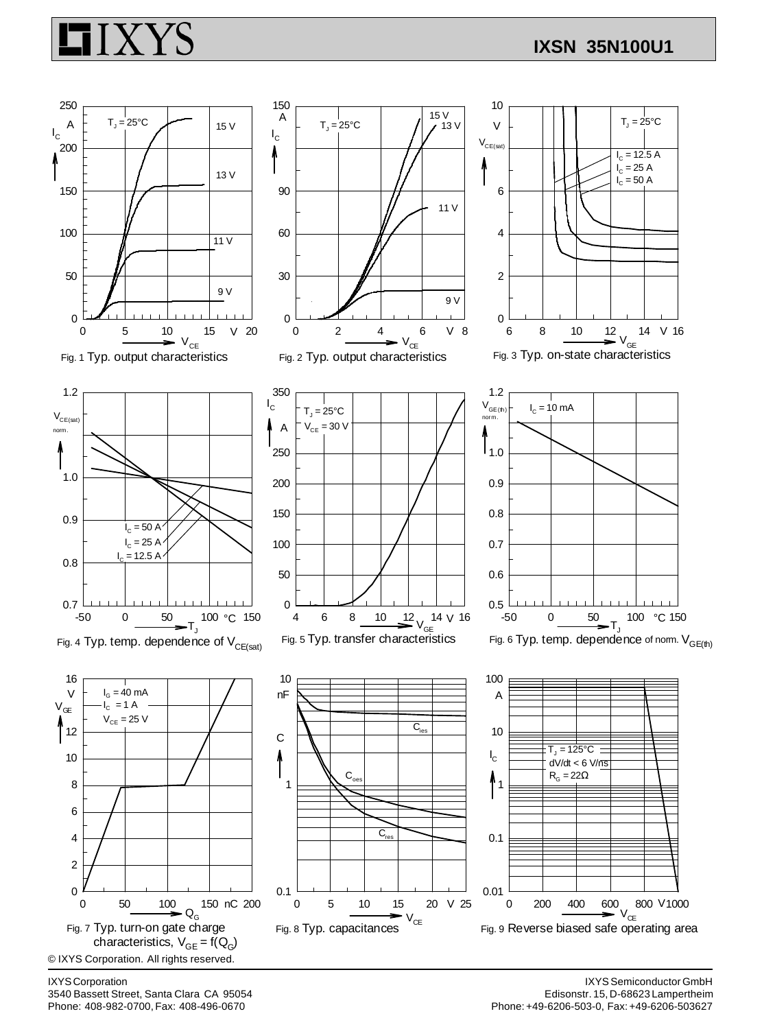## **IXSN 35N100U1**



IXYS Corporation 3540 Bassett Street, Santa Clara CA 95054 Phone: 408-982-0700, Fax: 408-496-0670

IXYS Semiconductor GmbH Edisonstr. 15, D-68623 Lampertheim Phone: +49-6206-503-0, Fax: +49-6206-503627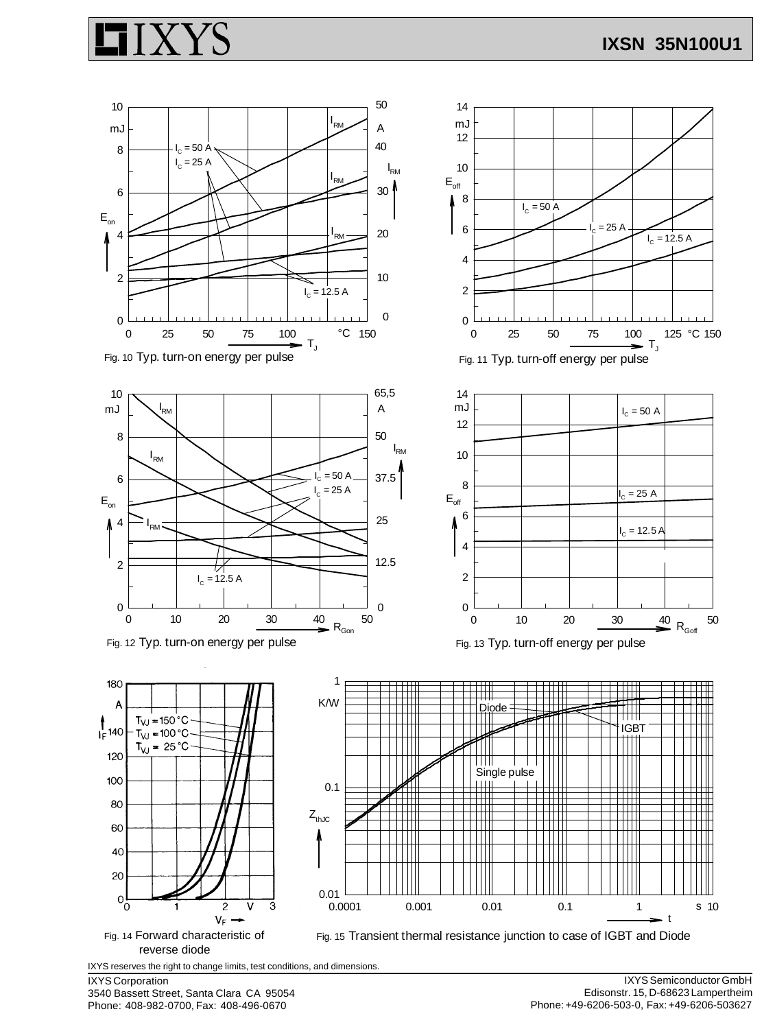



IXYS Corporation

3540 Bassett Street, Santa Clara CA 95054 Phone: 408-982-0700, Fax: 408-496-0670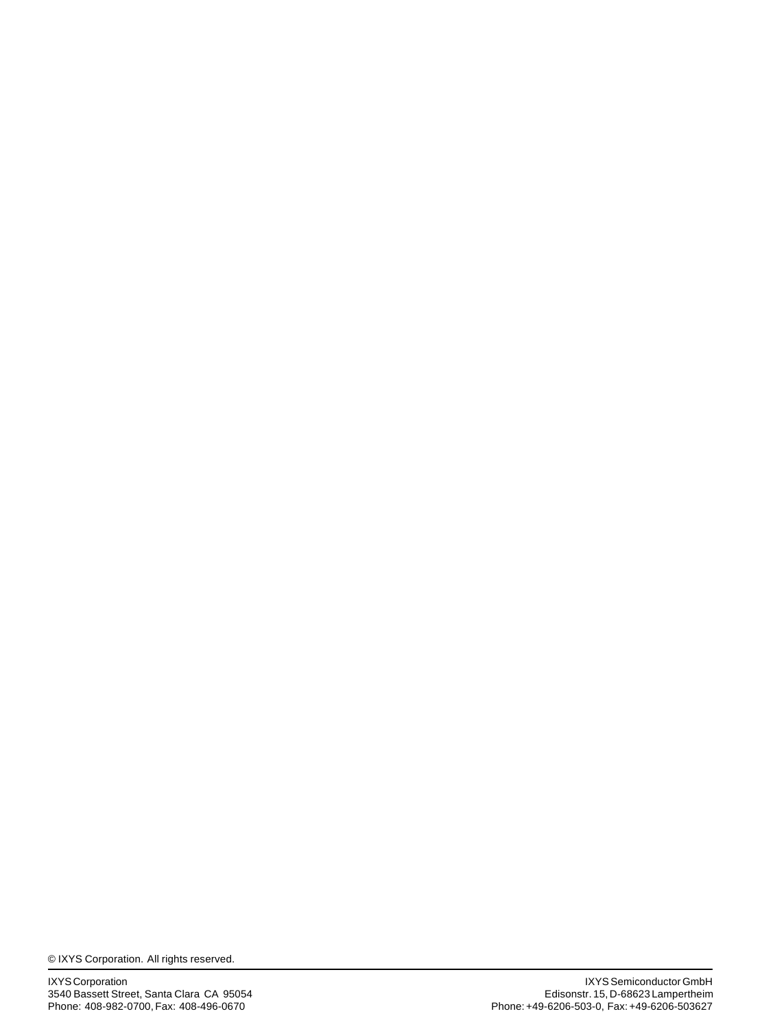© IXYS Corporation. All rights reserved.